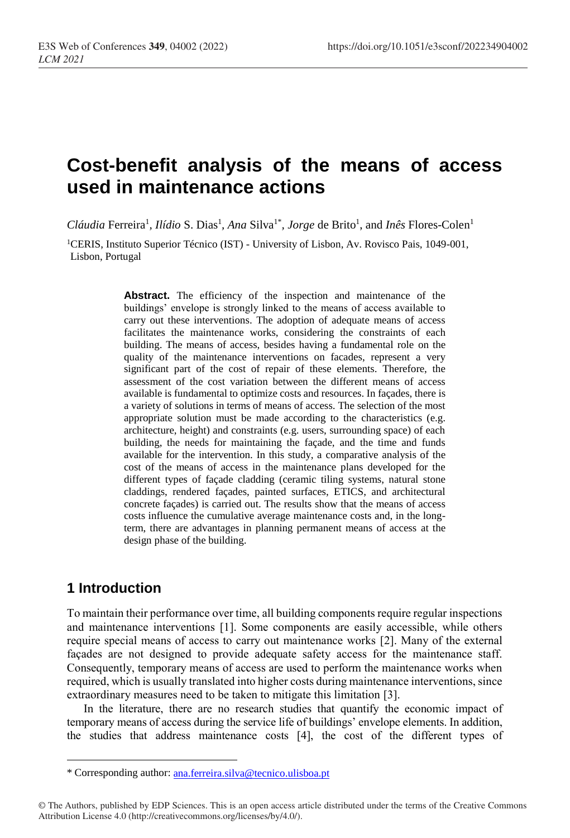# **Cost-benefit analysis of the means of access used in maintenance actions**

Cláudia Ferreira<sup>1</sup>, Ilídio S. Dias<sup>1</sup>, Ana Silva<sup>1\*</sup>, Jorge de Brito<sup>1</sup>, and Inês Flores-Colen<sup>1</sup>

<sup>1</sup>CERIS, Instituto Superior Técnico (IST) - University of Lisbon, Av. Rovisco Pais, 1049-001, Lisbon, Portugal

> Abstract. The efficiency of the inspection and maintenance of the buildings' envelope is strongly linked to the means of access available to carry out these interventions. The adoption of adequate means of access facilitates the maintenance works, considering the constraints of each building. The means of access, besides having a fundamental role on the quality of the maintenance interventions on facades, represent a very significant part of the cost of repair of these elements. Therefore, the assessment of the cost variation between the different means of access available is fundamental to optimize costs and resources. In façades, there is a variety of solutions in terms of means of access. The selection of the most appropriate solution must be made according to the characteristics (e.g. architecture, height) and constraints (e.g. users, surrounding space) of each building, the needs for maintaining the façade, and the time and funds available for the intervention. In this study, a comparative analysis of the cost of the means of access in the maintenance plans developed for the different types of façade cladding (ceramic tiling systems, natural stone claddings, rendered façades, painted surfaces, ETICS, and architectural concrete façades) is carried out. The results show that the means of access costs influence the cumulative average maintenance costs and, in the longterm, there are advantages in planning permanent means of access at the design phase of the building.

# **1 Introduction**

 $\overline{a}$ 

To maintain their performance over time, all building components require regular inspections and maintenance interventions [1]. Some components are easily accessible, while others require special means of access to carry out maintenance works [2]. Many of the external façades are not designed to provide adequate safety access for the maintenance staff. Consequently, temporary means of access are used to perform the maintenance works when required, which is usually translated into higher costs during maintenance interventions, since extraordinary measures need to be taken to mitigate this limitation [3].

In the literature, there are no research studies that quantify the economic impact of temporary means of access during the service life of buildings' envelope elements. In addition, the studies that address maintenance costs [4], the cost of the different types of

<sup>\*</sup> Corresponding author: [ana.ferreira.silva@tecnico.ulisboa.pt](mailto:author@email.org)

<sup>©</sup> The Authors, published by EDP Sciences. This is an open access article distributed under the terms of the Creative Commons Attribution License 4.0 (http://creativecommons.org/licenses/by/4.0/).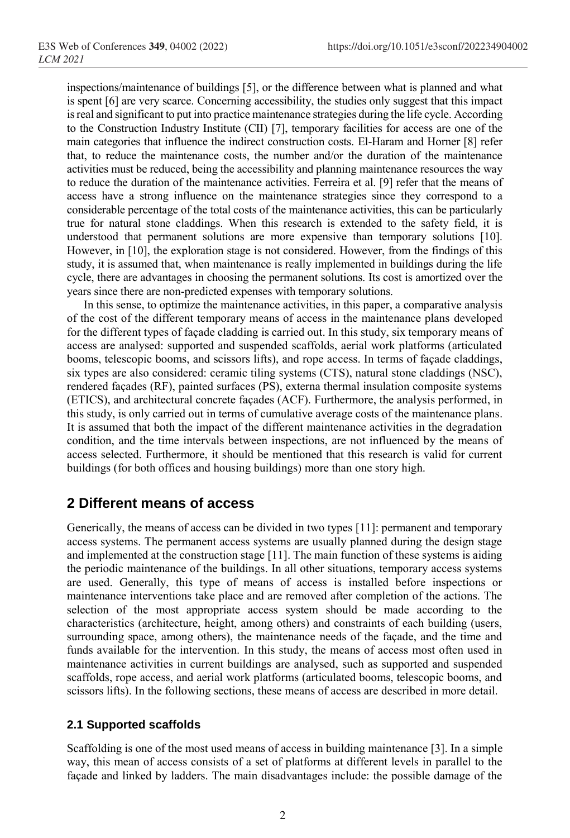inspections/maintenance of buildings [5], or the difference between what is planned and what is spent [6] are very scarce. Concerning accessibility, the studies only suggest that this impact is real and significant to put into practice maintenance strategies during the life cycle. According to the Construction Industry Institute (CII) [7], temporary facilities for access are one of the main categories that influence the indirect construction costs. El-Haram and Horner [8] refer that, to reduce the maintenance costs, the number and/or the duration of the maintenance activities must be reduced, being the accessibility and planning maintenance resources the way to reduce the duration of the maintenance activities. Ferreira et al. [9] refer that the means of access have a strong influence on the maintenance strategies since they correspond to a considerable percentage of the total costs of the maintenance activities, this can be particularly true for natural stone claddings. When this research is extended to the safety field, it is understood that permanent solutions are more expensive than temporary solutions [10]. However, in [10], the exploration stage is not considered. However, from the findings of this study, it is assumed that, when maintenance is really implemented in buildings during the life cycle, there are advantages in choosing the permanent solutions. Its cost is amortized over the years since there are non-predicted expenses with temporary solutions.

In this sense, to optimize the maintenance activities, in this paper, a comparative analysis of the cost of the different temporary means of access in the maintenance plans developed for the different types of façade cladding is carried out. In this study, six temporary means of access are analysed: supported and suspended scaffolds, aerial work platforms (articulated booms, telescopic booms, and scissors lifts), and rope access. In terms of façade claddings, six types are also considered: ceramic tiling systems (CTS), natural stone claddings (NSC), rendered façades (RF), painted surfaces (PS), externa thermal insulation composite systems (ETICS), and architectural concrete façades (ACF). Furthermore, the analysis performed, in this study, is only carried out in terms of cumulative average costs of the maintenance plans. It is assumed that both the impact of the different maintenance activities in the degradation condition, and the time intervals between inspections, are not influenced by the means of access selected. Furthermore, it should be mentioned that this research is valid for current buildings (for both offices and housing buildings) more than one story high.

### **2 Different means of access**

Generically, the means of access can be divided in two types [11]: permanent and temporary access systems. The permanent access systems are usually planned during the design stage and implemented at the construction stage [11]. The main function of these systems is aiding the periodic maintenance of the buildings. In all other situations, temporary access systems are used. Generally, this type of means of access is installed before inspections or maintenance interventions take place and are removed after completion of the actions. The selection of the most appropriate access system should be made according to the characteristics (architecture, height, among others) and constraints of each building (users, surrounding space, among others), the maintenance needs of the façade, and the time and funds available for the intervention. In this study, the means of access most often used in maintenance activities in current buildings are analysed, such as supported and suspended scaffolds, rope access, and aerial work platforms (articulated booms, telescopic booms, and scissors lifts). In the following sections, these means of access are described in more detail.

#### **2.1 Supported scaffolds**

Scaffolding is one of the most used means of access in building maintenance [3]. In a simple way, this mean of access consists of a set of platforms at different levels in parallel to the façade and linked by ladders. The main disadvantages include: the possible damage of the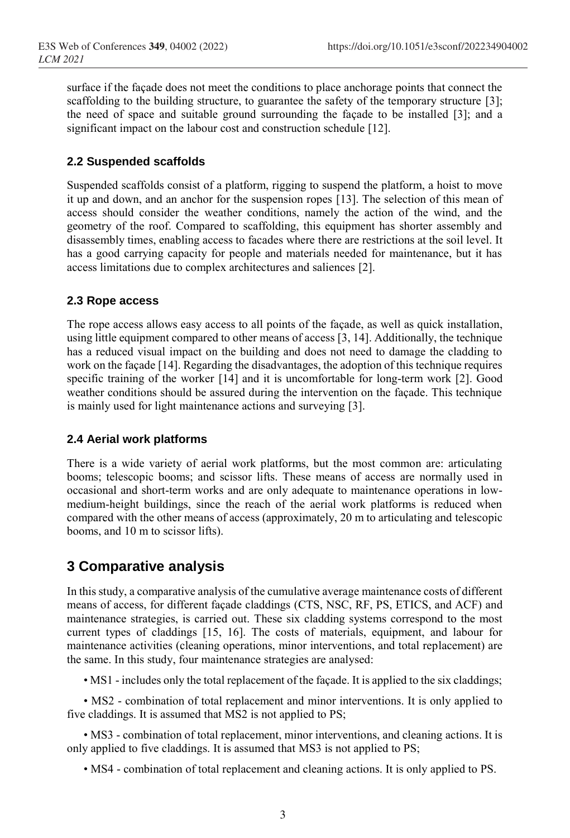surface if the façade does not meet the conditions to place anchorage points that connect the scaffolding to the building structure, to guarantee the safety of the temporary structure [3]; the need of space and suitable ground surrounding the façade to be installed [3]; and a significant impact on the labour cost and construction schedule [12].

#### **2.2 Suspended scaffolds**

Suspended scaffolds consist of a platform, rigging to suspend the platform, a hoist to move it up and down, and an anchor for the suspension ropes [13]. The selection of this mean of access should consider the weather conditions, namely the action of the wind, and the geometry of the roof. Compared to scaffolding, this equipment has shorter assembly and disassembly times, enabling access to facades where there are restrictions at the soil level. It has a good carrying capacity for people and materials needed for maintenance, but it has access limitations due to complex architectures and saliences [2].

#### **2.3 Rope access**

The rope access allows easy access to all points of the façade, as well as quick installation, using little equipment compared to other means of access [3, 14]. Additionally, the technique has a reduced visual impact on the building and does not need to damage the cladding to work on the façade [14]. Regarding the disadvantages, the adoption of this technique requires specific training of the worker [14] and it is uncomfortable for long-term work [2]. Good weather conditions should be assured during the intervention on the façade. This technique is mainly used for light maintenance actions and surveying [3].

#### **2.4 Aerial work platforms**

There is a wide variety of aerial work platforms, but the most common are: articulating booms; telescopic booms; and scissor lifts. These means of access are normally used in occasional and short-term works and are only adequate to maintenance operations in lowmedium-height buildings, since the reach of the aerial work platforms is reduced when compared with the other means of access (approximately, 20 m to articulating and telescopic booms, and 10 m to scissor lifts).

### **3 Comparative analysis**

In this study, a comparative analysis of the cumulative average maintenance costs of different means of access, for different façade claddings (CTS, NSC, RF, PS, ETICS, and ACF) and maintenance strategies, is carried out. These six cladding systems correspond to the most current types of claddings [15, 16]. The costs of materials, equipment, and labour for maintenance activities (cleaning operations, minor interventions, and total replacement) are the same. In this study, four maintenance strategies are analysed:

• MS1 - includes only the total replacement of the façade. It is applied to the six claddings;

• MS2 - combination of total replacement and minor interventions. It is only applied to five claddings. It is assumed that MS2 is not applied to PS;

• MS3 - combination of total replacement, minor interventions, and cleaning actions. It is only applied to five claddings. It is assumed that MS3 is not applied to PS;

• MS4 - combination of total replacement and cleaning actions. It is only applied to PS.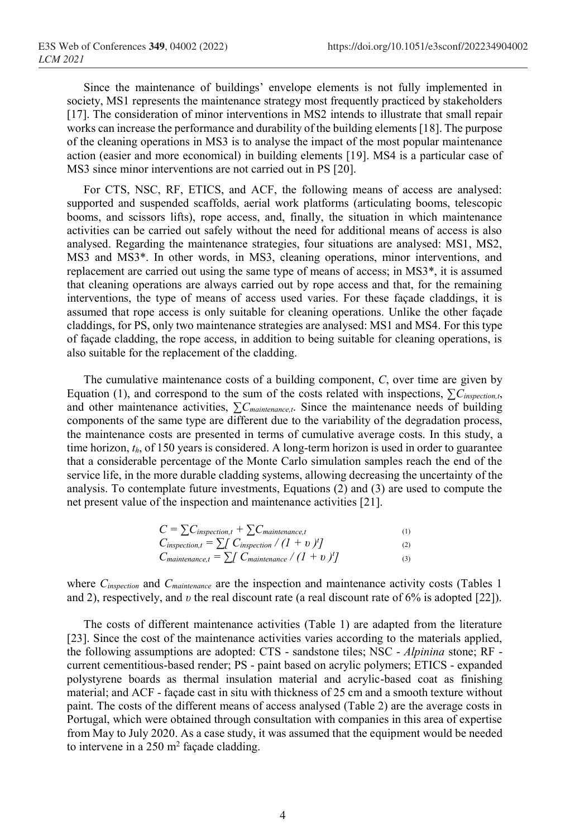Since the maintenance of buildings' envelope elements is not fully implemented in society, MS1 represents the maintenance strategy most frequently practiced by stakeholders [17]. The consideration of minor interventions in MS2 intends to illustrate that small repair works can increase the performance and durability of the building elements [18]. The purpose of the cleaning operations in MS3 is to analyse the impact of the most popular maintenance action (easier and more economical) in building elements [19]. MS4 is a particular case of MS3 since minor interventions are not carried out in PS [20].

For CTS, NSC, RF, ETICS, and ACF, the following means of access are analysed: supported and suspended scaffolds, aerial work platforms (articulating booms, telescopic booms, and scissors lifts), rope access, and, finally, the situation in which maintenance activities can be carried out safely without the need for additional means of access is also analysed. Regarding the maintenance strategies, four situations are analysed: MS1, MS2, MS3 and MS3\*. In other words, in MS3, cleaning operations, minor interventions, and replacement are carried out using the same type of means of access; in MS3\*, it is assumed that cleaning operations are always carried out by rope access and that, for the remaining interventions, the type of means of access used varies. For these façade claddings, it is assumed that rope access is only suitable for cleaning operations. Unlike the other façade claddings, for PS, only two maintenance strategies are analysed: MS1 and MS4. For this type of façade cladding, the rope access, in addition to being suitable for cleaning operations, is also suitable for the replacement of the cladding.

The cumulative maintenance costs of a building component, *C*, over time are given by Equation (1), and correspond to the sum of the costs related with inspections, ∑*Cinspection,t*, and other maintenance activities, ∑*Cmaintenance,t*. Since the maintenance needs of building components of the same type are different due to the variability of the degradation process, the maintenance costs are presented in terms of cumulative average costs. In this study, a time horizon, *th*, of 150 years is considered. A long-term horizon is used in order to guarantee that a considerable percentage of the Monte Carlo simulation samples reach the end of the service life, in the more durable cladding systems, allowing decreasing the uncertainty of the analysis. To contemplate future investments, Equations (2) and (3) are used to compute the net present value of the inspection and maintenance activities [21].

| $C = \sum C_{inspection, t} + \sum C_{maintenate, t}$                    | (1) |
|--------------------------------------------------------------------------|-----|
| $C_{\text{inspection},t} = \sum_{l} C_{\text{inspection}} / (l + v)^{t}$ | (2) |
| $C_{maintenance, t} = \sum \int C_{maintenance} / (1 + v)^{t}$           | (3) |

where *Cinspection* and *Cmaintenance* are the inspection and maintenance activity costs (Tables 1 and 2), respectively, and *υ* the real discount rate (a real discount rate of 6% is adopted [22]).

The costs of different maintenance activities (Table 1) are adapted from the literature [23]. Since the cost of the maintenance activities varies according to the materials applied, the following assumptions are adopted: CTS - sandstone tiles; NSC - *Alpinina* stone; RF current cementitious-based render; PS - paint based on acrylic polymers; ETICS - expanded polystyrene boards as thermal insulation material and acrylic-based coat as finishing material; and ACF - façade cast in situ with thickness of 25 cm and a smooth texture without paint. The costs of the different means of access analysed (Table 2) are the average costs in Portugal, which were obtained through consultation with companies in this area of expertise from May to July 2020. As a case study, it was assumed that the equipment would be needed to intervene in a  $250 \text{ m}^2$  façade cladding.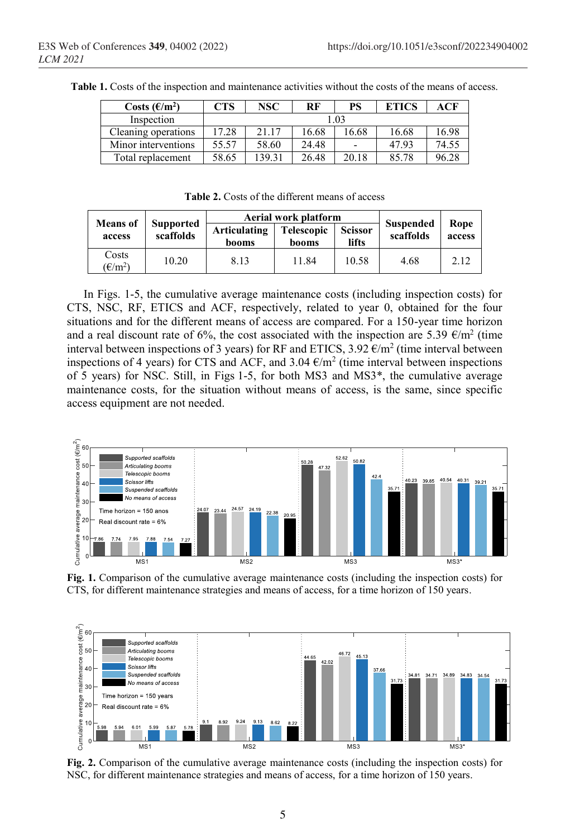| Costs $(\epsilon/m^2)$ | CTS   | NSC    | RF    | PS             | ETICS | ACF   |
|------------------------|-------|--------|-------|----------------|-------|-------|
| Inspection             | .02   |        |       |                |       |       |
| Cleaning operations    | 17.28 | 21.17  | 16.68 | .6.68          | 16.68 | 16.98 |
| Minor interventions    | 55.57 | 58.60  | 24.48 | $\overline{a}$ | 47.93 | 74.55 |
| Total replacement      | 58.65 | 139.31 | 26.48 | 20.18          | 85.78 | 96.28 |

**Table 1.** Costs of the inspection and maintenance activities without the costs of the means of access.

**Table 2.** Costs of the different means of access

| <b>Means</b> of                                                              |                       |                            | Aerial work platform    |                               | Rope<br>access |      |
|------------------------------------------------------------------------------|-----------------------|----------------------------|-------------------------|-------------------------------|----------------|------|
| <b>Supported</b><br>scaffolds<br>access                                      | Articulating<br>booms | <b>Telescopic</b><br>booms | <b>Scissor</b><br>lifts | <b>Suspended</b><br>scaffolds |                |      |
| Costs<br>$(\text{\ensuremath{\mathbb{E}}}/\text{\ensuremath{\mathbf{m}}}^2)$ | 10.20                 | 8.13                       | 11.84                   | 10.58                         | 4.68           | 2.12 |

In Figs. 1-5, the cumulative average maintenance costs (including inspection costs) for CTS, NSC, RF, ETICS and ACF, respectively, related to year 0, obtained for the four situations and for the different means of access are compared. For a 150-year time horizon and a real discount rate of 6%, the cost associated with the inspection are 5.39  $\epsilon/m^2$  (time interval between inspections of 3 years) for RF and ETICS, 3.92  $\epsilon/m^2$  (time interval between inspections of 4 years) for CTS and ACF, and 3.04  $\epsilon/m^2$  (time interval between inspections of 5 years) for NSC. Still, in Figs 1-5, for both MS3 and MS3\*, the cumulative average maintenance costs, for the situation without means of access, is the same, since specific access equipment are not needed.



**Fig. 1.** Comparison of the cumulative average maintenance costs (including the inspection costs) for CTS, for different maintenance strategies and means of access, for a time horizon of 150 years.



**Fig. 2.** Comparison of the cumulative average maintenance costs (including the inspection costs) for NSC, for different maintenance strategies and means of access, for a time horizon of 150 years.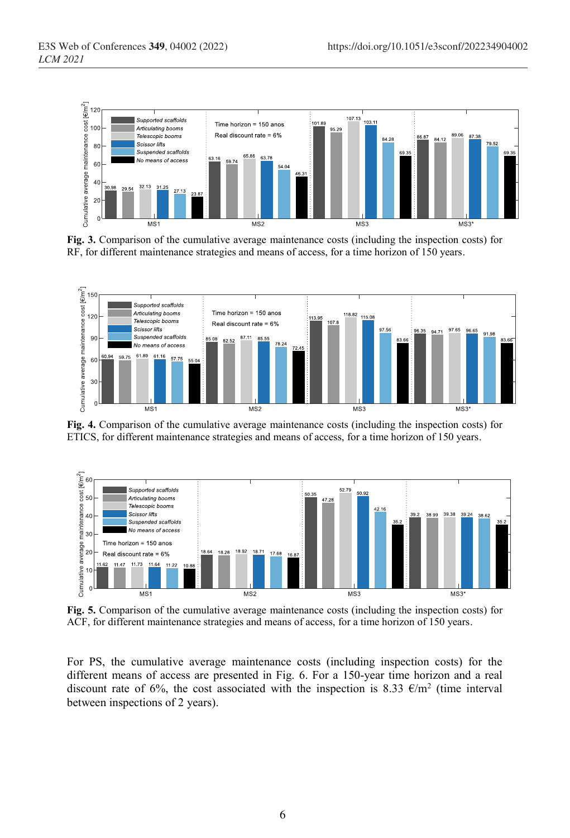

**Fig. 3.** Comparison of the cumulative average maintenance costs (including the inspection costs) for RF, for different maintenance strategies and means of access, for a time horizon of 150 years.



**Fig. 4.** Comparison of the cumulative average maintenance costs (including the inspection costs) for ETICS, for different maintenance strategies and means of access, for a time horizon of 150 years.



**Fig. 5.** Comparison of the cumulative average maintenance costs (including the inspection costs) for ACF, for different maintenance strategies and means of access, for a time horizon of 150 years.

For PS, the cumulative average maintenance costs (including inspection costs) for the different means of access are presented in Fig. 6. For a 150-year time horizon and a real discount rate of 6%, the cost associated with the inspection is 8.33  $\epsilon/m^2$  (time interval between inspections of 2 years).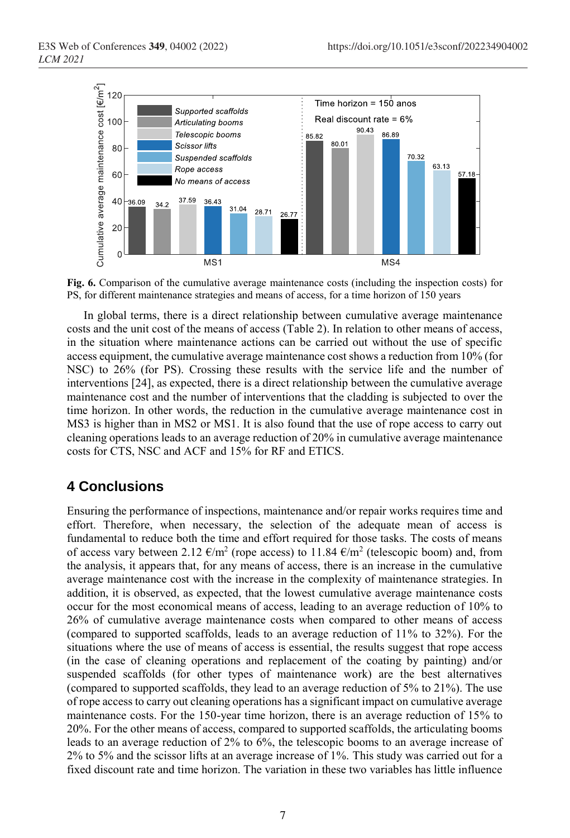

**Fig. 6.** Comparison of the cumulative average maintenance costs (including the inspection costs) for PS, for different maintenance strategies and means of access, for a time horizon of 150 years

In global terms, there is a direct relationship between cumulative average maintenance costs and the unit cost of the means of access (Table 2). In relation to other means of access, in the situation where maintenance actions can be carried out without the use of specific access equipment, the cumulative average maintenance cost shows a reduction from 10% (for NSC) to 26% (for PS). Crossing these results with the service life and the number of interventions [24], as expected, there is a direct relationship between the cumulative average maintenance cost and the number of interventions that the cladding is subjected to over the time horizon. In other words, the reduction in the cumulative average maintenance cost in MS3 is higher than in MS2 or MS1. It is also found that the use of rope access to carry out cleaning operations leads to an average reduction of 20% in cumulative average maintenance costs for CTS, NSC and ACF and 15% for RF and ETICS.

# **4 Conclusions**

Ensuring the performance of inspections, maintenance and/or repair works requires time and effort. Therefore, when necessary, the selection of the adequate mean of access is fundamental to reduce both the time and effort required for those tasks. The costs of means of access vary between 2.12  $\epsilon/m^2$  (rope access) to 11.84  $\epsilon/m^2$  (telescopic boom) and, from the analysis, it appears that, for any means of access, there is an increase in the cumulative average maintenance cost with the increase in the complexity of maintenance strategies. In addition, it is observed, as expected, that the lowest cumulative average maintenance costs occur for the most economical means of access, leading to an average reduction of 10% to 26% of cumulative average maintenance costs when compared to other means of access (compared to supported scaffolds, leads to an average reduction of 11% to 32%). For the situations where the use of means of access is essential, the results suggest that rope access (in the case of cleaning operations and replacement of the coating by painting) and/or suspended scaffolds (for other types of maintenance work) are the best alternatives (compared to supported scaffolds, they lead to an average reduction of 5% to 21%). The use of rope access to carry out cleaning operations has a significant impact on cumulative average maintenance costs. For the 150-year time horizon, there is an average reduction of 15% to 20%. For the other means of access, compared to supported scaffolds, the articulating booms leads to an average reduction of 2% to 6%, the telescopic booms to an average increase of 2% to 5% and the scissor lifts at an average increase of 1%. This study was carried out for a fixed discount rate and time horizon. The variation in these two variables has little influence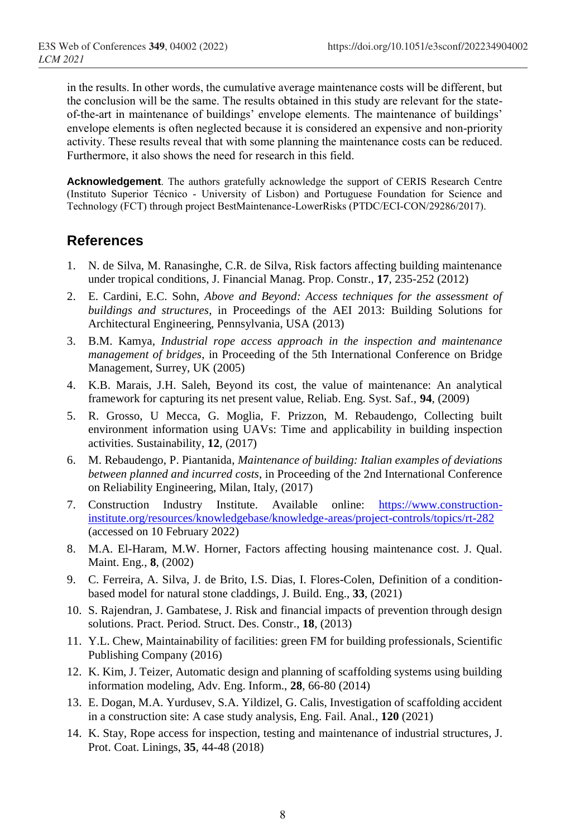in the results. In other words, the cumulative average maintenance costs will be different, but the conclusion will be the same. The results obtained in this study are relevant for the stateof-the-art in maintenance of buildings' envelope elements. The maintenance of buildings' envelope elements is often neglected because it is considered an expensive and non-priority activity. These results reveal that with some planning the maintenance costs can be reduced. Furthermore, it also shows the need for research in this field.

**Acknowledgement**. The authors gratefully acknowledge the support of CERIS Research Centre (Instituto Superior Técnico - University of Lisbon) and Portuguese Foundation for Science and Technology (FCT) through project BestMaintenance-LowerRisks (PTDC/ECI-CON/29286/2017).

# **References**

- 1. N. de Silva, M. Ranasinghe, C.R. de Silva, Risk factors affecting building maintenance under tropical conditions, J. Financial Manag. Prop. Constr., **17**, 235-252 (2012)
- 2. E. Cardini, E.C. Sohn, *Above and Beyond: Access techniques for the assessment of buildings and structures*, in Proceedings of the AEI 2013: Building Solutions for Architectural Engineering, Pennsylvania, USA (2013)
- 3. B.M. Kamya, *Industrial rope access approach in the inspection and maintenance management of bridges*, in Proceeding of the 5th International Conference on Bridge Management, Surrey, UK (2005)
- 4. K.B. Marais, J.H. Saleh, Beyond its cost, the value of maintenance: An analytical framework for capturing its net present value, Reliab. Eng. Syst. Saf., **94**, (2009)
- 5. R. Grosso, U Mecca, G. Moglia, F. Prizzon, M. Rebaudengo, Collecting built environment information using UAVs: Time and applicability in building inspection activities. Sustainability, **12**, (2017)
- 6. M. Rebaudengo, P. Piantanida, *Maintenance of building: Italian examples of deviations between planned and incurred costs*, in Proceeding of the 2nd International Conference on Reliability Engineering, Milan, Italy, (2017)
- 7. Construction Industry Institute. Available online: [https://www.construction](https://www.construction-institute.org/resources/knowledgebase/knowledge-areas/project-controls/topics/rt-282)[institute.org/resources/knowledgebase/knowledge-areas/project-controls/topics/rt-282](https://www.construction-institute.org/resources/knowledgebase/knowledge-areas/project-controls/topics/rt-282) (accessed on 10 February 2022)
- 8. M.A. El-Haram, M.W. Horner, Factors affecting housing maintenance cost. J. Qual. Maint. Eng., **8**, (2002)
- 9. C. Ferreira, A. Silva, J. de Brito, I.S. Dias, I. Flores-Colen, Definition of a conditionbased model for natural stone claddings, J. Build. Eng., **33**, (2021)
- 10. S. Rajendran, J. Gambatese, J. Risk and financial impacts of prevention through design solutions. Pract. Period. Struct. Des. Constr., **18**, (2013)
- 11. Y.L. Chew, Maintainability of facilities: green FM for building professionals, Scientific Publishing Company (2016)
- 12. K. Kim, J. Teizer, Automatic design and planning of scaffolding systems using building information modeling, Adv. Eng. Inform., **28**, 66-80 (2014)
- 13. E. Dogan, M.A. Yurdusev, S.A. Yildizel, G. Calis, Investigation of scaffolding accident in a construction site: A case study analysis, Eng. Fail. Anal., **120** (2021)
- 14. K. Stay, Rope access for inspection, testing and maintenance of industrial structures, J. Prot. Coat. Linings, **35**, 44-48 (2018)